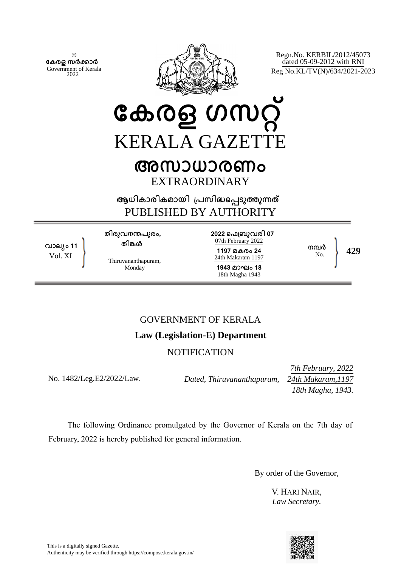© **േകരള സർകാർ** Government of Kerala 2022



Regn.No. KERBIL/2012/45073 dated 05-09-2012 with RNI Reg No.KL/TV(N)/634/2021-2023

# **േകരള ഗസറ്** KERALA GAZETTE **അസാധാരണം** EXTRAORDINARY

**ആധികാരികമായി ്പസിദെപടുതുനത** PUBLISHED BY AUTHORITY

**വാല്ം 11** Vol. XI

**തിരുവനനപുരം, തിങള**

Thiruvananthapuram, Monday

**2022 െഫ്ബുവരി 07** 07th February 2022 **1197 മകരം 24** 24th Makaram 1197 **1943 മാഘം 18** 18th Magha 1943

No. **429**

## GOVERNMENT OF KERALA

## **Law (Legislation-E) Department**

## **NOTIFICATION**

No. 1482/Leg.E2/2022/Law.

*Dated, Thiruvananthapuram, 24th Makaram,1197*

*7th February, 2022 18th Magha, 1943.* 

**നമ്പ**ർ<br>No

The following Ordinance promulgated by the Governor of Kerala on the 7th day of February, 2022 is hereby published for general information.

By order of the Governor,

V. HARI NAIR, *Law Secretary.*

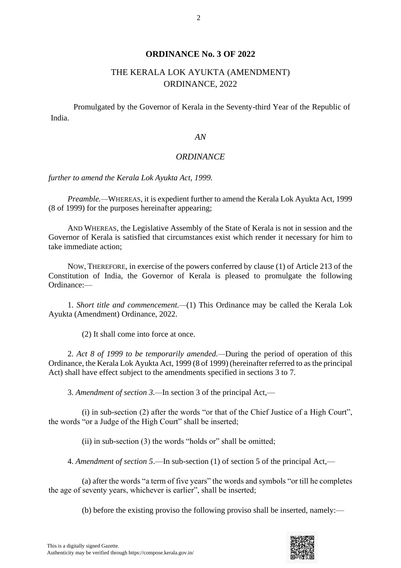### **ORDINANCE No. 3 OF 2022**

## THE KERALA LOK AYUKTA (AMENDMENT) ORDINANCE, 2022

Promulgated by the Governor of Kerala in the Seventy-third Year of the Republic of India.

#### *AN*

#### *ORDINANCE*

#### *further to amend the Kerala Lok Ayukta Act, 1999.*

*Preamble.—*WHEREAS, it is expedient further to amend the Kerala Lok Ayukta Act, 1999 (8 of 1999) for the purposes hereinafter appearing;

AND WHEREAS, the Legislative Assembly of the State of Kerala is not in session and the Governor of Kerala is satisfied that circumstances exist which render it necessary for him to take immediate action;

NOW, THEREFORE, in exercise of the powers conferred by clause (1) of Article 213 of the Constitution of India, the Governor of Kerala is pleased to promulgate the following Ordinance:—

1. *Short title and commencement.—*(1) This Ordinance may be called the Kerala Lok Ayukta (Amendment) Ordinance, 2022.

(2) It shall come into force at once.

2. *Act 8 of 1999 to be temporarily amended.—*During the period of operation of this Ordinance, the Kerala Lok Ayukta Act, 1999 (8 of 1999) (hereinafter referred to as the principal Act) shall have effect subject to the amendments specified in sections 3 to 7.

3. *Amendment of section 3.—*In section 3 of the principal Act,—

(i) in sub-section (2) after the words "or that of the Chief Justice of a High Court", the words "or a Judge of the High Court" shall be inserted;

 $(ii)$  in sub-section  $(3)$  the words "holds or" shall be omitted;

4. *Amendment of section 5*.—In sub-section (1) of section 5 of the principal Act,—

(a) after the words "a term of five years" the words and symbols "or till he completes the age of seventy years, whichever is earlier", shall be inserted;

(b) before the existing proviso the following proviso shall be inserted, namely:—